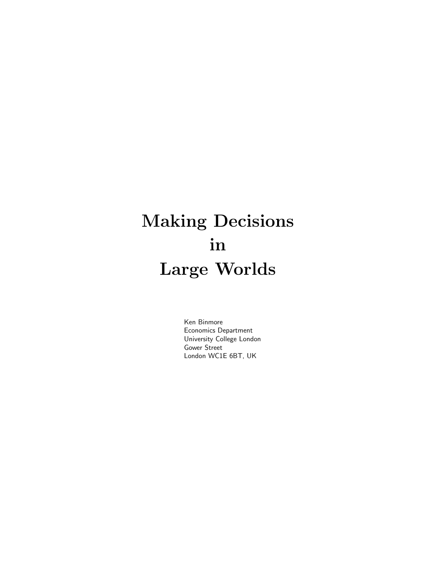# **Making Decisions in Large Worlds**

Ken Binmore Economics Department University College London Gower Street London WC1E 6BT, UK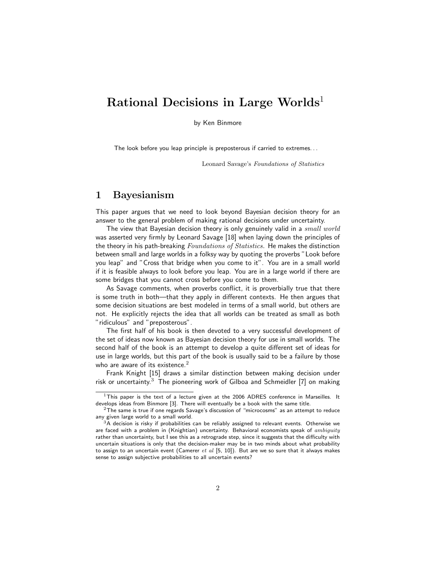## **Rational Decisions in Large Worlds**<sup>1</sup>

by Ken Binmore

The look before you leap principle is preposterous if carried to extremes. . .

Leonard Savage's *Foundations of Statistics*

#### **1 Bayesianism**

This paper argues that we need to look beyond Bayesian decision theory for an answer to the general problem of making rational decisions under uncertainty.

The view that Bayesian decision theory is only genuinely valid in a *small world* was asserted very firmly by Leonard Savage [18] when laying down the principles of the theory in his path-breaking Foundations of Statistics. He makes the distinction between small and large worlds in a folksy way by quoting the proverbs "Look before you leap" and "Cross that bridge when you come to it". You are in a small world if it is feasible always to look before you leap. You are in a large world if there are some bridges that you cannot cross before you come to them.

As Savage comments, when proverbs conflict, it is proverbially true that there is some truth in both—that they apply in different contexts. He then argues that some decision situations are best modeled in terms of a small world, but others are not. He explicitly rejects the idea that all worlds can be treated as small as both "ridiculous" and "preposterous".

The first half of his book is then devoted to a very successful development of the set of ideas now known as Bayesian decision theory for use in small worlds. The second half of the book is an attempt to develop a quite different set of ideas for use in large worlds, but this part of the book is usually said to be a failure by those who are aware of its existence. $2$ 

Frank Knight [15] draws a similar distinction between making decision under risk or uncertainty. $3$  The pioneering work of Gilboa and Schmeidler [7] on making

 $1$ This paper is the text of a lecture given at the 2006 ADRES conference in Marseilles. It develops ideas from Binmore [3]. There will eventually be a book with the same title.

 $2$ The same is true if one regards Savage's discussion of "microcosms" as an attempt to reduce any given large world to a small world.

 $3A$  decision is risky if probabilities can be reliably assigned to relevant events. Otherwise we are faced with a problem in (Knightian) uncertainty. Behavioral economists speak of ambiguity rather than uncertainty, but I see this as a retrograde step, since it suggests that the difficulty with uncertain situations is only that the decision-maker may be in two minds about what probability to assign to an uncertain event (Camerer  $et$   $al$  [5, 10]). But are we so sure that it always makes sense to assign subjective probabilities to all uncertain events?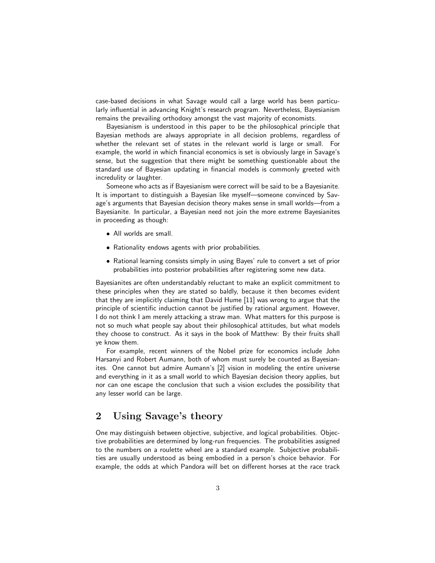case-based decisions in what Savage would call a large world has been particularly influential in advancing Knight's research program. Nevertheless, Bayesianism remains the prevailing orthodoxy amongst the vast majority of economists.

Bayesianism is understood in this paper to be the philosophical principle that Bayesian methods are always appropriate in all decision problems, regardless of whether the relevant set of states in the relevant world is large or small. For example, the world in which financial economics is set is obviously large in Savage's sense, but the suggestion that there might be something questionable about the standard use of Bayesian updating in financial models is commonly greeted with incredulity or laughter.

Someone who acts as if Bayesianism were correct will be said to be a Bayesianite. It is important to distinguish a Bayesian like myself—someone convinced by Savage's arguments that Bayesian decision theory makes sense in small worlds—from a Bayesianite. In particular, a Bayesian need not join the more extreme Bayesianites in proceeding as though:

- All worlds are small.
- Rationality endows agents with prior probabilities.
- Rational learning consists simply in using Bayes' rule to convert a set of prior probabilities into posterior probabilities after registering some new data.

Bayesianites are often understandably reluctant to make an explicit commitment to these principles when they are stated so baldly, because it then becomes evident that they are implicitly claiming that David Hume [11] was wrong to argue that the principle of scientific induction cannot be justified by rational argument. However, I do not think I am merely attacking a straw man. What matters for this purpose is not so much what people say about their philosophical attitudes, but what models they choose to construct. As it says in the book of Matthew: By their fruits shall ye know them.

For example, recent winners of the Nobel prize for economics include John Harsanyi and Robert Aumann, both of whom must surely be counted as Bayesianites. One cannot but admire Aumann's [2] vision in modeling the entire universe and everything in it as a small world to which Bayesian decision theory applies, but nor can one escape the conclusion that such a vision excludes the possibility that any lesser world can be large.

### **2 Using Savage's theory**

One may distinguish between objective, subjective, and logical probabilities. Objective probabilities are determined by long-run frequencies. The probabilities assigned to the numbers on a roulette wheel are a standard example. Subjective probabilities are usually understood as being embodied in a person's choice behavior. For example, the odds at which Pandora will bet on different horses at the race track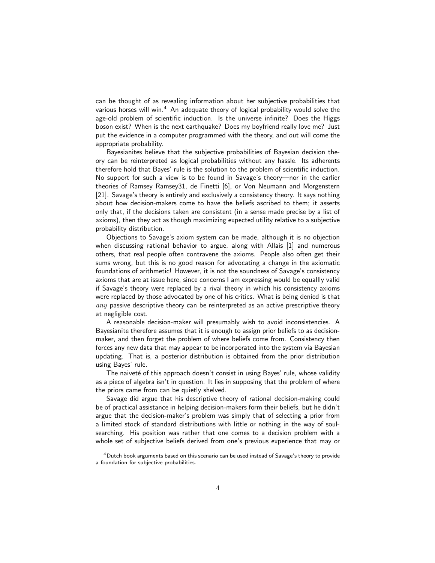can be thought of as revealing information about her subjective probabilities that various horses will win. $4$  An adequate theory of logical probability would solve the age-old problem of scientific induction. Is the universe infinite? Does the Higgs boson exist? When is the next earthquake? Does my boyfriend really love me? Just put the evidence in a computer programmed with the theory, and out will come the appropriate probability.

Bayesianites believe that the subjective probabilities of Bayesian decision theory can be reinterpreted as logical probabilities without any hassle. Its adherents therefore hold that Bayes' rule is the solution to the problem of scientific induction. No support for such a view is to be found in Savage's theory—nor in the earlier theories of Ramsey Ramsey31, de Finetti [6], or Von Neumann and Morgenstern [21]. Savage's theory is entirely and exclusively a consistency theory. It says nothing about how decision-makers come to have the beliefs ascribed to them; it asserts only that, if the decisions taken are consistent (in a sense made precise by a list of axioms), then they act as though maximizing expected utility relative to a subjective probability distribution.

Objections to Savage's axiom system can be made, although it is no objection when discussing rational behavior to argue, along with Allais [1] and numerous others, that real people often contravene the axioms. People also often get their sums wrong, but this is no good reason for advocating a change in the axiomatic foundations of arithmetic! However, it is not the soundness of Savage's consistency axioms that are at issue here, since concerns I am expressing would be equallly valid if Savage's theory were replaced by a rival theory in which his consistency axioms were replaced by those advocated by one of his critics. What is being denied is that  $any$  passive descriptive theory can be reinterpreted as an active prescriptive theory at negligible cost.

A reasonable decision-maker will presumably wish to avoid inconsistencies. A Bayesianite therefore assumes that it is enough to assign prior beliefs to as decisionmaker, and then forget the problem of where beliefs come from. Consistency then forces any new data that may appear to be incorporated into the system via Bayesian updating. That is, a posterior distribution is obtained from the prior distribution using Bayes' rule.

The naiveté of this approach doesn't consist in using Bayes' rule, whose validity as a piece of algebra isn't in question. It lies in supposing that the problem of where the priors came from can be quietly shelved.

Savage did argue that his descriptive theory of rational decision-making could be of practical assistance in helping decision-makers form their beliefs, but he didn't argue that the decision-maker's problem was simply that of selecting a prior from a limited stock of standard distributions with little or nothing in the way of soulsearching. His position was rather that one comes to a decision problem with a whole set of subjective beliefs derived from one's previous experience that may or

 $^4\rm{Dutch}$  book arguments based on this scenario can be used instead of Savage's theory to provide a foundation for subjective probabilities.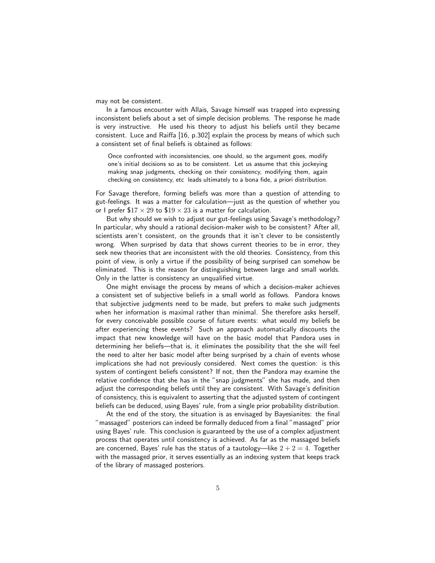may not be consistent.

In a famous encounter with Allais, Savage himself was trapped into expressing inconsistent beliefs about a set of simple decision problems. The response he made is very instructive. He used his theory to adjust his beliefs until they became consistent. Luce and Raiffa [16, p.302] explain the process by means of which such a consistent set of final beliefs is obtained as follows:

Once confronted with inconsistencies, one should, so the argument goes, modify one's initial decisions so as to be consistent. Let us assume that this jockeying making snap judgments, checking on their consistency, modifying them, again checking on consistency, etc leads ultimately to a bona fide, a priori distribution.

For Savage therefore, forming beliefs was more than a question of attending to gut-feelings. It was a matter for calculation—just as the question of whether you or I prefer  $$17 \times 29$  to  $$19 \times 23$  is a matter for calculation.

But why should we wish to adjust our gut-feelings using Savage's methodology? In particular, why should a rational decision-maker wish to be consistent? After all, scientists aren't consistent, on the grounds that it isn't clever to be consistently wrong. When surprised by data that shows current theories to be in error, they seek new theories that are inconsistent with the old theories. Consistency, from this point of view, is only a virtue if the possibility of being surprised can somehow be eliminated. This is the reason for distinguishing between large and small worlds. Only in the latter is consistency an unqualified virtue.

One might envisage the process by means of which a decision-maker achieves a consistent set of subjective beliefs in a small world as follows. Pandora knows that subjective judgments need to be made, but prefers to make such judgments when her information is maximal rather than minimal. She therefore asks herself, for every conceivable possible course of future events: what would my beliefs be after experiencing these events? Such an approach automatically discounts the impact that new knowledge will have on the basic model that Pandora uses in determining her beliefs—that is, it eliminates the possibility that the she will feel the need to alter her basic model after being surprised by a chain of events whose implications she had not previously considered. Next comes the question: is this system of contingent beliefs consistent? If not, then the Pandora may examine the relative confidence that she has in the "snap judgments" she has made, and then adjust the corresponding beliefs until they are consistent. With Savage's definition of consistency, this is equivalent to asserting that the adjusted system of contingent beliefs can be deduced, using Bayes' rule, from a single prior probability distribution.

At the end of the story, the situation is as envisaged by Bayesianites: the final "massaged" posteriors can indeed be formally deduced from a final "massaged" prior using Bayes' rule. This conclusion is guaranteed by the use of a complex adjustment process that operates until consistency is achieved. As far as the massaged beliefs are concerned, Bayes' rule has the status of a tautology—like  $2 + 2 = 4$ . Together with the massaged prior, it serves essentially as an indexing system that keeps track of the library of massaged posteriors.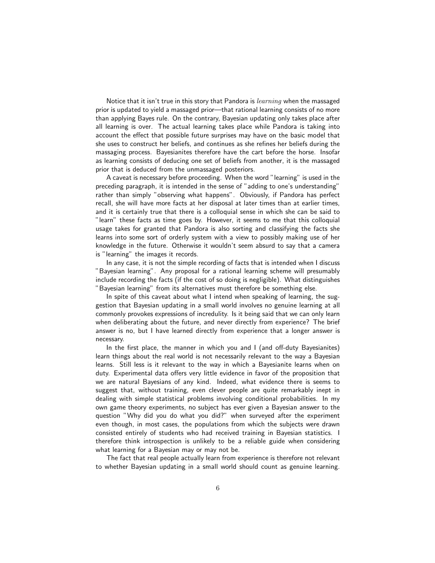Notice that it isn't true in this story that Pandora is *learning* when the massaged prior is updated to yield a massaged prior—that rational learning consists of no more than applying Bayes rule. On the contrary, Bayesian updating only takes place after all learning is over. The actual learning takes place while Pandora is taking into account the effect that possible future surprises may have on the basic model that she uses to construct her beliefs, and continues as she refines her beliefs during the massaging process. Bayesianites therefore have the cart before the horse. Insofar as learning consists of deducing one set of beliefs from another, it is the massaged prior that is deduced from the unmassaged posteriors.

A caveat is necessary before proceeding. When the word "learning" is used in the preceding paragraph, it is intended in the sense of "adding to one's understanding" rather than simply "observing what happens". Obviously, if Pandora has perfect recall, she will have more facts at her disposal at later times than at earlier times, and it is certainly true that there is a colloquial sense in which she can be said to "learn" these facts as time goes by. However, it seems to me that this colloquial usage takes for granted that Pandora is also sorting and classifying the facts she learns into some sort of orderly system with a view to possibly making use of her knowledge in the future. Otherwise it wouldn't seem absurd to say that a camera is "learning" the images it records.

In any case, it is not the simple recording of facts that is intended when I discuss "Bayesian learning". Any proposal for a rational learning scheme will presumably include recording the facts (if the cost of so doing is negligible). What distinguishes "Bayesian learning" from its alternatives must therefore be something else.

In spite of this caveat about what I intend when speaking of learning, the suggestion that Bayesian updating in a small world involves no genuine learning at all commonly provokes expressions of incredulity. Is it being said that we can only learn when deliberating about the future, and never directly from experience? The brief answer is no, but I have learned directly from experience that a longer answer is necessary.

In the first place, the manner in which you and I (and off-duty Bayesianites) learn things about the real world is not necessarily relevant to the way a Bayesian learns. Still less is it relevant to the way in which a Bayesianite learns when on duty. Experimental data offers very little evidence in favor of the proposition that we are natural Bayesians of any kind. Indeed, what evidence there is seems to suggest that, without training, even clever people are quite remarkably inept in dealing with simple statistical problems involving conditional probabilities. In my own game theory experiments, no subject has ever given a Bayesian answer to the question "Why did you do what you did?" when surveyed after the experiment even though, in most cases, the populations from which the subjects were drawn consisted entirely of students who had received training in Bayesian statistics. I therefore think introspection is unlikely to be a reliable guide when considering what learning for a Bayesian may or may not be.

The fact that real people actually learn from experience is therefore not relevant to whether Bayesian updating in a small world should count as genuine learning.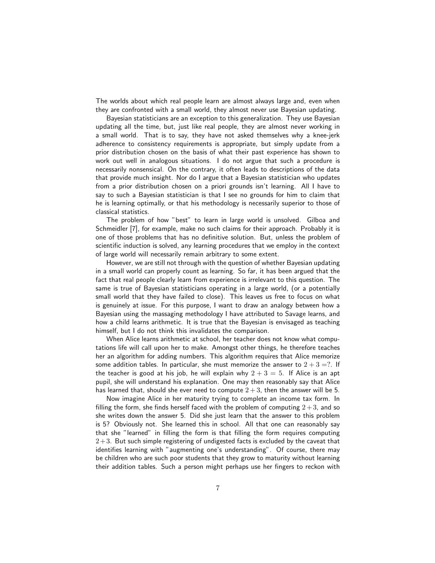The worlds about which real people learn are almost always large and, even when they are confronted with a small world, they almost never use Bayesian updating.

Bayesian statisticians are an exception to this generalization. They use Bayesian updating all the time, but, just like real people, they are almost never working in a small world. That is to say, they have not asked themselves why a knee-jerk adherence to consistency requirements is appropriate, but simply update from a prior distribution chosen on the basis of what their past experience has shown to work out well in analogous situations. I do not argue that such a procedure is necessarily nonsensical. On the contrary, it often leads to descriptions of the data that provide much insight. Nor do I argue that a Bayesian statistician who updates from a prior distribution chosen on a priori grounds isn't learning. All I have to say to such a Bayesian statistician is that I see no grounds for him to claim that he is learning optimally, or that his methodology is necessarily superior to those of classical statistics.

The problem of how "best" to learn in large world is unsolved. Gilboa and Schmeidler [7], for example, make no such claims for their approach. Probably it is one of those problems that has no definitive solution. But, unless the problem of scientific induction is solved, any learning procedures that we employ in the context of large world will necessarily remain arbitrary to some extent.

However, we are still not through with the question of whether Bayesian updating in a small world can properly count as learning. So far, it has been argued that the fact that real people clearly learn from experience is irrelevant to this question. The same is true of Bayesian statisticians operating in a large world, (or a potentially small world that they have failed to close). This leaves us free to focus on what is genuinely at issue. For this purpose, I want to draw an analogy between how a Bayesian using the massaging methodology I have attributed to Savage learns, and how a child learns arithmetic. It is true that the Bayesian is envisaged as teaching himself, but I do not think this invalidates the comparison.

When Alice learns arithmetic at school, her teacher does not know what computations life will call upon her to make. Amongst other things, he therefore teaches her an algorithm for adding numbers. This algorithm requires that Alice memorize some addition tables. In particular, she must memorize the answer to  $2 + 3 = ?$ . If the teacher is good at his job, he will explain why  $2+3=5$ . If Alice is an apt pupil, she will understand his explanation. One may then reasonably say that Alice has learned that, should she ever need to compute  $2+3$ , then the answer will be 5.

Now imagine Alice in her maturity trying to complete an income tax form. In filling the form, she finds herself faced with the problem of computing  $2+3$ , and so she writes down the answer 5. Did she just learn that the answer to this problem is 5? Obviously not. She learned this in school. All that one can reasonably say that she "learned" in filling the form is that filling the form requires computing  $2+3$ . But such simple registering of undigested facts is excluded by the caveat that identifies learning with "augmenting one's understanding". Of course, there may be children who are such poor students that they grow to maturity without learning their addition tables. Such a person might perhaps use her fingers to reckon with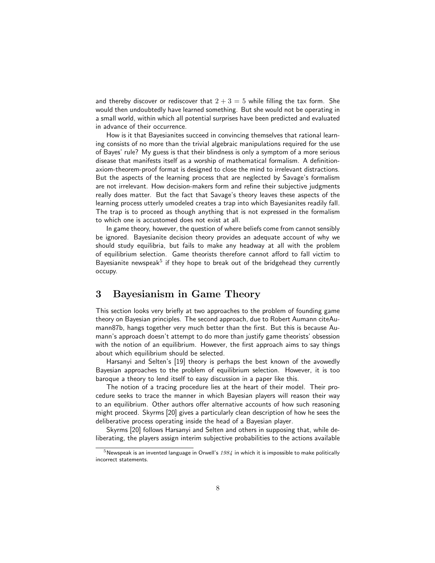and thereby discover or rediscover that  $2 + 3 = 5$  while filling the tax form. She would then undoubtedly have learned something. But she would not be operating in a small world, within which all potential surprises have been predicted and evaluated in advance of their occurrence.

How is it that Bayesianites succeed in convincing themselves that rational learning consists of no more than the trivial algebraic manipulations required for the use of Bayes' rule? My guess is that their blindness is only a symptom of a more serious disease that manifests itself as a worship of mathematical formalism. A definitionaxiom-theorem-proof format is designed to close the mind to irrelevant distractions. But the aspects of the learning process that are neglected by Savage's formalism are not irrelevant. How decision-makers form and refine their subjective judgments really does matter. But the fact that Savage's theory leaves these aspects of the learning process utterly umodeled creates a trap into which Bayesianites readily fall. The trap is to proceed as though anything that is not expressed in the formalism to which one is accustomed does not exist at all.

In game theory, however, the question of where beliefs come from cannot sensibly be ignored. Bayesianite decision theory provides an adequate account of why we should study equilibria, but fails to make any headway at all with the problem of equilibrium selection. Game theorists therefore cannot afford to fall victim to Bayesianite newspeak $5$  if they hope to break out of the bridgehead they currently occupy.

#### **3 Bayesianism in Game Theory**

This section looks very briefly at two approaches to the problem of founding game theory on Bayesian principles. The second approach, due to Robert Aumann citeAumann87b, hangs together very much better than the first. But this is because Aumann's approach doesn't attempt to do more than justify game theorists' obsession with the notion of an equilibrium. However, the first approach aims to say things about which equilibrium should be selected.

Harsanyi and Selten's [19] theory is perhaps the best known of the avowedly Bayesian approaches to the problem of equilibrium selection. However, it is too baroque a theory to lend itself to easy discussion in a paper like this.

The notion of a tracing procedure lies at the heart of their model. Their procedure seeks to trace the manner in which Bayesian players will reason their way to an equilibrium. Other authors offer alternative accounts of how such reasoning might proceed. Skyrms [20] gives a particularly clean description of how he sees the deliberative process operating inside the head of a Bayesian player.

Skyrms [20] follows Harsanyi and Selten and others in supposing that, while deliberating, the players assign interim subjective probabilities to the actions available

 $5$ Newspeak is an invented language in Orwell's  $1984$  in which it is impossible to make politically incorrect statements.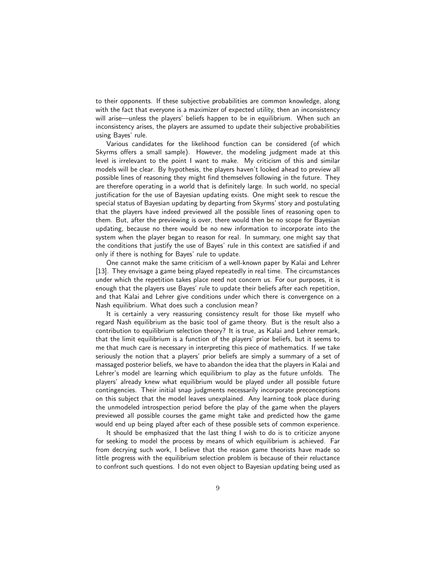to their opponents. If these subjective probabilities are common knowledge, along with the fact that everyone is a maximizer of expected utility, then an inconsistency will arise—unless the players' beliefs happen to be in equilibrium. When such an inconsistency arises, the players are assumed to update their subjective probabilities using Bayes' rule.

Various candidates for the likelihood function can be considered (of which Skyrms offers a small sample). However, the modeling judgment made at this level is irrelevant to the point I want to make. My criticism of this and similar models will be clear. By hypothesis, the players haven't looked ahead to preview all possible lines of reasoning they might find themselves following in the future. They are therefore operating in a world that is definitely large. In such world, no special justification for the use of Bayesian updating exists. One might seek to rescue the special status of Bayesian updating by departing from Skyrms' story and postulating that the players have indeed previewed all the possible lines of reasoning open to them. But, after the previewing is over, there would then be no scope for Bayesian updating, because no there would be no new information to incorporate into the system when the player began to reason for real. In summary, one might say that the conditions that justify the use of Bayes' rule in this context are satisfied if and only if there is nothing for Bayes' rule to update.

One cannot make the same criticism of a well-known paper by Kalai and Lehrer [13]. They envisage a game being played repeatedly in real time. The circumstances under which the repetition takes place need not concern us. For our purposes, it is enough that the players use Bayes' rule to update their beliefs after each repetition, and that Kalai and Lehrer give conditions under which there is convergence on a Nash equilibrium. What does such a conclusion mean?

It is certainly a very reassuring consistency result for those like myself who regard Nash equilibrium as the basic tool of game theory. But is the result also a contribution to equilibrium selection theory? It is true, as Kalai and Lehrer remark, that the limit equilibrium is a function of the players' prior beliefs, but it seems to me that much care is necessary in interpreting this piece of mathematics. If we take seriously the notion that a players' prior beliefs are simply a summary of a set of massaged posterior beliefs, we have to abandon the idea that the players in Kalai and Lehrer's model are learning which equilibrium to play as the future unfolds. The players' already knew what equilibrium would be played under all possible future contingencies. Their initial snap judgments necessarily incorporate preconceptions on this subject that the model leaves unexplained. Any learning took place during the unmodeled introspection period before the play of the game when the players previewed all possible courses the game might take and predicted how the game would end up being played after each of these possible sets of common experience.

It should be emphasized that the last thing I wish to do is to criticize anyone for seeking to model the process by means of which equilibrium is achieved. Far from decrying such work, I believe that the reason game theorists have made so little progress with the equilibrium selection problem is because of their reluctance to confront such questions. I do not even object to Bayesian updating being used as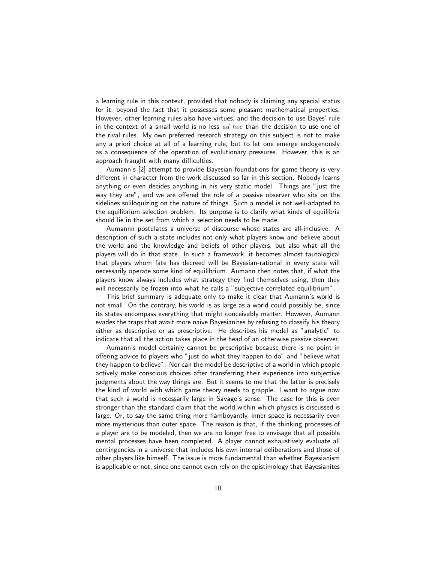a learning rule in this context, provided that nobody is claiming any special status for it, beyond the fact that it possesses some pleasant mathematical properties. However, other learning rules also have virtues, and the decision to use Bayes' rule in the context of a small world is no less  $ad hoc$  than the decision to use one of the rival rules. My own preferred research strategy on this subject is not to make any a priori choice at all of a learning rule, but to let one emerge endogenously as a consequence of the operation of evolutionary pressures. However, this is an approach fraught with many difficulties.

Aumann's [2] attempt to provide Bayesian foundations for game theory is very different in character from the work discussed so far in this section. Nobody learns anything or even decides anything in his very static model. Things are "just the way they are", and we are offered the role of a passive observer who sits on the sidelines soliloquizing on the nature of things. Such a model is not well-adapted to the equilibrium selection problem. Its purpose is to clarify what kinds of equilibria should lie in the set from which a selection needs to be made.

Aumannn postulates a universe of discourse whose states are all-inclusive. A description of such a state includes not only what players know and believe about the world and the knowledge and beliefs of other players, but also what all the players will do in that state. In such a framework, it becomes almost tautological that players whom fate has decreed will be Bayesian-rational in every state will necessarily operate some kind of equilibrium. Aumann then notes that, if what the players know always includes what strategy they find themselves using, then they will necessarily be frozen into what he calls a "subjective correlated equilibrium".

This brief summary is adequate only to make it clear that Aumann's world is not small. On the contrary, his world is as large as a world could possibly be, since its states encompass everything that might conceivably matter. However, Aumann evades the traps that await more naive Bayesianites by refusing to classify his theory either as descriptive or as prescriptive. He describes his model as "analytic" to indicate that all the action takes place in the head of an otherwise passive observer.

Aumann's model certainly cannot be prescriptive because there is no point in offering advice to players who "just do what they happen to do" and "believe what they happen to believe". Nor can the model be descriptive of a world in which people actively make conscious choices after transferring their experience into subjective judgments about the way things are. But it seems to me that the latter is precisely the kind of world with which game theory needs to grapple. I want to argue now that such a world is necessarily large in Savage's sense. The case for this is even stronger than the standard claim that the world within which physics is discussed is large. Or, to say the same thing more flamboyantly, inner space is necessarily even more mysterious than outer space. The reason is that, if the thinking processes of a player are to be modeled, then we are no longer free to envisage that all possible mental processes have been completed. A player cannot exhaustively evaluate all contingencies in a universe that includes his own internal deliberations and those of other players like himself. The issue is more fundamental than whether Bayesianism is applicable or not, since one cannot even rely on the epistimology that Bayesianites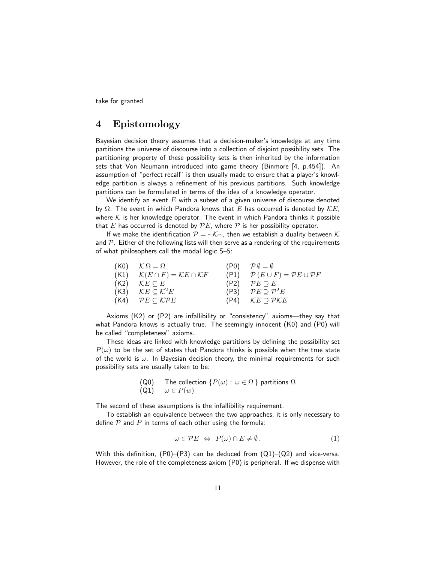take for granted.

### **4 Epistomology**

Bayesian decision theory assumes that a decision-maker's knowledge at any time partitions the universe of discourse into a collection of disjoint possibility sets. The partitioning property of these possibility sets is then inherited by the information sets that Von Neumann introduced into game theory (Binmore [4, p.454]). An assumption of "perfect recall" is then usually made to ensure that a player's knowledge partition is always a refinement of his previous partitions. Such knowledge partitions can be formulated in terms of the idea of a knowledge operator.

We identify an event  $E$  with a subset of a given universe of discourse denoted by  $\Omega$ . The event in which Pandora knows that E has occurred is denoted by  $KE$ , where K is her knowledge operator. The event in which Pandora thinks it possible that E has occurred is denoted by  $\mathcal{P}E$ , where  $\mathcal P$  is her possibility operator.

If we make the identification  $\mathcal{P} = \sim \mathcal{K} \sim$ , then we establish a duality between K and  $P$ . Either of the following lists will then serve as a rendering of the requirements of what philosophers call the modal logic S–5:

| $(K0)$ $K \Omega = \Omega$                     | (P0) | $\mathcal{P}\emptyset = \emptyset$                       |
|------------------------------------------------|------|----------------------------------------------------------|
| $K(E \cap F) = \mathcal{K}E \cap \mathcal{K}F$ | (P1) | $\mathcal{P}(E \cup F) = \mathcal{P}E \cup \mathcal{P}F$ |
| $(K2)$ $KE \subseteq E$                        |      | $(P2)$ $PE \supset E$                                    |
| $(K3)$ $KE \subseteq \mathcal{K}^2E$           |      | (P3) $\mathcal{P}E \supseteq \mathcal{P}^2E$             |
| $(K4)$ $PE \subseteq KPE$                      |      | $(P4)$ $KE \supseteq PKE$                                |

Axioms (K2) or (P2) are infallibility or "consistency" axioms—they say that what Pandora knows is actually true. The seemingly innocent (K0) and (P0) will be called "completeness" axioms.

These ideas are linked with knowledge partitions by defining the possibility set  $P(\omega)$  to be the set of states that Pandora thinks is possible when the true state of the world is  $\omega$ . In Bayesian decision theory, the minimal requirements for such possibility sets are usually taken to be:

(Q0) The collection 
$$
\{P(\omega) : \omega \in \Omega\}
$$
 partitions  $\Omega$   
(Q1)  $\omega \in P(\omega)$ 

The second of these assumptions is the infallibility requirement.

To establish an equivalence between the two approaches, it is only necessary to define  $P$  and  $P$  in terms of each other using the formula:

$$
\omega \in \mathcal{P}E \iff P(\omega) \cap E \neq \emptyset. \tag{1}
$$

With this definition,  $(P0)$ – $(P3)$  can be deduced from  $(Q1)$ – $(Q2)$  and vice-versa. However, the role of the completeness axiom (P0) is peripheral. If we dispense with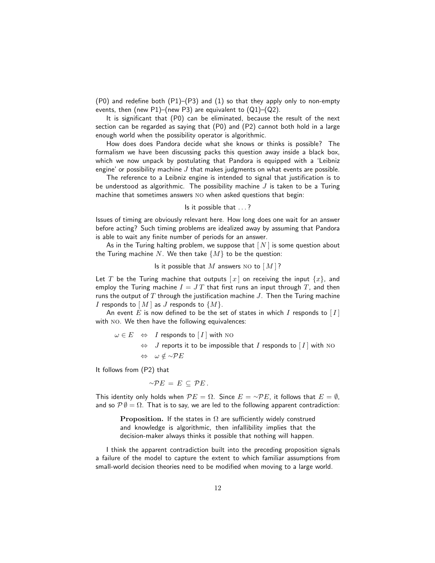(P0) and redefine both (P1)–(P3) and (1) so that they apply only to non-empty events, then (new P1)–(new P3) are equivalent to  $(Q1)$ – $(Q2)$ .

It is significant that (P0) can be eliminated, because the result of the next section can be regarded as saying that (P0) and (P2) cannot both hold in a large enough world when the possibility operator is algorithmic.

How does does Pandora decide what she knows or thinks is possible? The formalism we have been discussing packs this question away inside a black box, which we now unpack by postulating that Pandora is equipped with a 'Leibniz engine' or possibility machine  $J$  that makes judgments on what events are possible.

The reference to a Leibniz engine is intended to signal that justification is to be understood as algorithmic. The possibility machine  $J$  is taken to be a Turing machine that sometimes answers no when asked questions that begin:

Is it possible that 
$$
\dots
$$
?

Issues of timing are obviously relevant here. How long does one wait for an answer before acting? Such timing problems are idealized away by assuming that Pandora is able to wait any finite number of periods for an answer.

As in the Turing halting problem, we suppose that  $[N]$  is some question about the Turing machine N. We then take  $\{M\}$  to be the question:

Is it possible that 
$$
M
$$
 answers NO to  $[M]$ ?

Let T be the Turing machine that outputs  $[x]$  on receiving the input  $\{x\}$ , and employ the Turing machine  $I = JT$  that first runs an input through T, and then runs the output of  $T$  through the justification machine  $J$ . Then the Turing machine I responds to  $[M]$  as J responds to  $\{M\}$ .

An event E is now defined to be the set of states in which I responds to  $[I]$ with NO. We then have the following equivalences:

- $\omega \in E \iff I$  responds to  $[I]$  with NO
	- $\Leftrightarrow$  J reports it to be impossible that I responds to [I] with NO  $\Leftrightarrow \omega \notin \sim \mathcal{P}E$

It follows from (P2) that

$$
\sim \mathcal{P} E = E \subseteq \mathcal{P} E.
$$

This identity only holds when  $\mathcal{P}E = \Omega$ . Since  $E = \sim \mathcal{P}E$ , it follows that  $E = \emptyset$ . and so  $\mathcal{P}\emptyset = \Omega$ . That is to say, we are led to the following apparent contradiction:

**Proposition.** If the states in  $\Omega$  are sufficiently widely construed and knowledge is algorithmic, then infallibility implies that the decision-maker always thinks it possible that nothing will happen.

I think the apparent contradiction built into the preceding proposition signals a failure of the model to capture the extent to which familiar assumptions from small-world decision theories need to be modified when moving to a large world.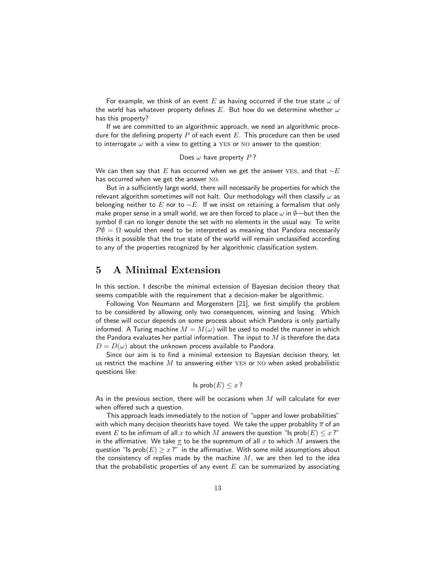For example, we think of an event E as having occurred if the true state  $\omega$  of the world has whatever property defines  $E$ . But how do we determine whether  $\omega$ has this property?

If we are committed to an algorithmic approach, we need an algorithmic procedure for the defining property P of each event  $E$ . This procedure can then be used to interrogate  $\omega$  with a view to getting a YES or NO answer to the question:

#### Does  $\omega$  have property  $P$ ?

We can then say that E has occurred when we get the answer YES, and that  $∼E$ has occurred when we get the answer no.

But in a sufficiently large world, there will necessarily be properties for which the relevant algorithm sometimes will not halt. Our methodology will then classify  $\omega$  as belonging neither to E nor to  $∼E$ . If we insist on retaining a formalism that only make proper sense in a small world, we are then forced to place  $\omega$  in  $\emptyset$ —but then the symbol  $\emptyset$  can no longer denote the set with no elements in the usual way. To write  $P\emptyset = \Omega$  would then need to be interpreted as meaning that Pandora necessarily thinks it possible that the true state of the world will remain unclassified according to any of the properties recognized by her algorithmic classification system.

#### **5 A Minimal Extension**

In this section, I describe the minimal extension of Bayesian decision theory that seems compatible with the requirement that a decision-maker be algorithmic.

Following Von Neumann and Morgenstern [21], we first simplify the problem to be considered by allowing only two consequences, winning and losing. Which of these will occur depends on some process about which Pandora is only partially informed. A Turing machine  $M = M(\omega)$  will be used to model the manner in which the Pandora evaluates her partial information. The input to  $M$  is therefore the data  $D = D(\omega)$  about the unknown process available to Pandora.

Since our aim is to find a minimal extension to Bayesian decision theory, let us restrict the machine  $M$  to answering either YES or NO when asked probabilistic questions like:

Is 
$$
prob(E) \leq x
$$
?

As in the previous section, there will be occasions when  $M$  will calculate for ever when offered such a question.

This approach leads immediately to the notion of "upper and lower probabilities" with which many decision theorists have toyed. We take the upper probablity  $\overline{\pi}$  of an event E to be infimum of all x to which M answers the question "Is  $\text{prob}(E) \leq x$ ?" in the affirmative. We take  $\pi$  to be the supremum of all x to which M answers the question "Is prob $(E) \geq x$ ?" in the affirmative. With some mild assumptions about the consistency of replies made by the machine  $M$ , we are then led to the idea that the probabilistic properties of any event  $E$  can be summarized by associating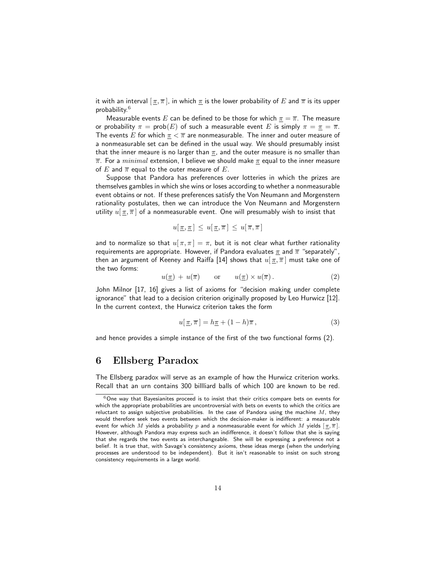it with an interval  $[\pi, \overline{\pi}]$ , in which  $\underline{\pi}$  is the lower probability of E and  $\overline{\pi}$  is its upper probability.<sup>6</sup>

Measurable events E can be defined to be those for which  $\pi = \overline{\pi}$ . The measure or probability  $\pi = \text{prob}(E)$  of such a measurable event E is simply  $\pi = \pi = \overline{\pi}$ . The events E for which  $\pi < \overline{\pi}$  are nonmeasurable. The inner and outer measure of a nonmeasurable set can be defined in the usual way. We should presumably insist that the inner meaure is no larger than  $\pi$ , and the outer measure is no smaller than  $\overline{\pi}$ . For a *minimal* extension, I believe we should make  $\pi$  equal to the inner measure of E and  $\overline{\pi}$  equal to the outer measure of E.

Suppose that Pandora has preferences over lotteries in which the prizes are themselves gambles in which she wins or loses according to whether a nonmeasurable event obtains or not. If these preferences satisfy the Von Neumann and Morgenstern rationality postulates, then we can introduce the Von Neumann and Morgenstern utility  $u[\pi,\overline{\pi}]$  of a nonmeasurable event. One will presumably wish to insist that

$$
u[\pi, \pi] \leq u[\pi, \overline{\pi}] \leq u[\pi, \overline{\pi}]
$$

and to normalize so that  $u/\pi, \pi$  =  $\pi$ , but it is not clear what further rationality requirements are appropriate. However, if Pandora evaluates  $\pi$  and  $\overline{\pi}$  "separately", then an argument of Keeney and Raiffa [14] shows that  $u[\pi,\overline{\pi}]$  must take one of the two forms:

$$
u(\underline{\pi}) + u(\overline{\pi}) \qquad \text{or} \qquad u(\underline{\pi}) \times u(\overline{\pi}). \tag{2}
$$

John Milnor [17, 16] gives a list of axioms for "decision making under complete ignorance" that lead to a decision criterion originally proposed by Leo Hurwicz [12]. In the current context, the Hurwicz criterion takes the form

$$
u[\underline{\pi}, \overline{\pi}] = h\underline{\pi} + (1 - h)\overline{\pi}, \qquad (3)
$$

and hence provides a simple instance of the first of the two functional forms (2).

#### **6 Ellsberg Paradox**

The Ellsberg paradox will serve as an example of how the Hurwicz criterion works. Recall that an urn contains 300 billliard balls of which 100 are known to be red.

 $6$ One way that Bayesianites proceed is to insist that their critics compare bets on events for which the appropriate probabilities are uncontroversial with bets on events to which the critics are reluctant to assign subjective probabilities. In the case of Pandora using the machine  $M$ , they would therefore seek two events between which the decision-maker is indifferent: a measurable event for which M yields a probability p and a nonmeasurable event for which M yields  $[\pi, \overline{\pi}]$ . However, although Pandora may express such an indifference, it doesn't follow that she is saying that she regards the two events as interchangeable. She will be expressing a preference not a belief. It is true that, with Savage's consistency axioms, these ideas merge (when the underlying processes are understood to be independent). But it isn't reasonable to insist on such strong consistency requirements in a large world.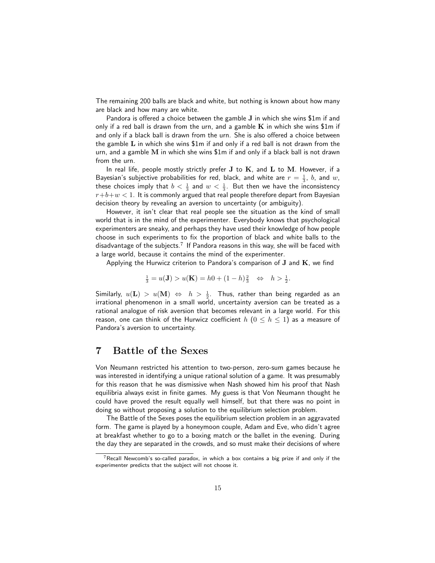The remaining 200 balls are black and white, but nothing is known about how many are black and how many are white.

Pandora is offered a choice between the gamble **J** in which she wins \$1m if and only if a red ball is drawn from the urn, and a gamble **K** in which she wins \$1m if and only if a black ball is drawn from the urn. She is also offered a choice between the gamble **L** in which she wins \$1m if and only if a red ball is not drawn from the urn, and a gamble **M** in which she wins \$1m if and only if a black ball is not drawn from the urn.

In real life, people mostly strictly prefer **J** to **K**, and **L** to **M**. However, if a Bayesian's subjective probabilities for red, black, and white are  $r=\frac{1}{3},~b,$  and  $w,$ these choices imply that  $b < \frac{1}{3}$  and  $w < \frac{1}{3}$ . But then we have the inconsistency  $r+b+w < 1$ . It is commonly argued that real people therefore depart from Bayesian decision theory by revealing an aversion to uncertainty (or ambiguity).

However, it isn't clear that real people see the situation as the kind of small world that is in the mind of the experimenter. Everybody knows that psychological experimenters are sneaky, and perhaps they have used their knowledge of how people choose in such experiments to fix the proportion of black and white balls to the disadvantage of the subjects.<sup>7</sup> If Pandora reasons in this way, she will be faced with a large world, because it contains the mind of the experimenter.

Applying the Hurwicz criterion to Pandora's comparison of **J** and **K**, we find

$$
\frac{1}{3} = u(\mathbf{J}) > u(\mathbf{K}) = h0 + (1 - h)\frac{2}{3} \iff h > \frac{1}{2}.
$$

Similarly,  $u(\mathbf{L}) > u(\mathbf{M}) \; \Leftrightarrow \; h \, > \, \frac{1}{2}.$  Thus, rather than being regarded as an irrational phenomenon in a small world, uncertainty aversion can be treated as a rational analogue of risk aversion that becomes relevant in a large world. For this reason, one can think of the Hurwicz coefficient  $h$   $(0 \leq h \leq 1)$  as a measure of Pandora's aversion to uncertainty.

#### **7 Battle of the Sexes**

Von Neumann restricted his attention to two-person, zero-sum games because he was interested in identifying a unique rational solution of a game. It was presumably for this reason that he was dismissive when Nash showed him his proof that Nash equilibria always exist in finite games. My guess is that Von Neumann thought he could have proved the result equally well himself, but that there was no point in doing so without proposing a solution to the equilibrium selection problem.

The Battle of the Sexes poses the equilibrium selection problem in an aggravated form. The game is played by a honeymoon couple, Adam and Eve, who didn't agree at breakfast whether to go to a boxing match or the ballet in the evening. During the day they are separated in the crowds, and so must make their decisions of where

 $7$ Recall Newcomb's so-called paradox, in which a box contains a big prize if and only if the experimenter predicts that the subject will not choose it.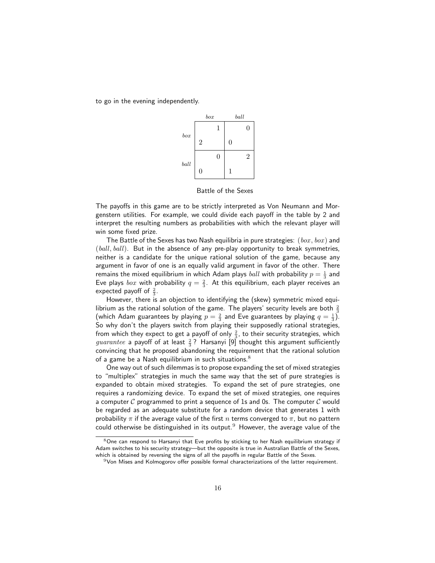to go in the evening independently.

|          | $_{box}$         |   | ball             |                |
|----------|------------------|---|------------------|----------------|
|          |                  | 1 |                  | 0              |
| $_{box}$ | $\overline{2}$   |   | $\boldsymbol{0}$ |                |
|          |                  | 0 |                  | $\overline{2}$ |
| ball     | $\boldsymbol{0}$ |   | 1                |                |

Battle of the Sexes

The payoffs in this game are to be strictly interpreted as Von Neumann and Morgenstern utilities. For example, we could divide each payoff in the table by 2 and interpret the resulting numbers as probabilities with which the relevant player will win some fixed prize.

The Battle of the Sexes has two Nash equilibria in pure strategies:  $(box, box)$  and (ball, ball). But in the absence of any pre-play opportunity to break symmetries, neither is a candidate for the unique rational solution of the game, because any argument in favor of one is an equally valid argument in favor of the other. There remains the mixed equilibrium in which Adam plays  $\mathit{ball}$  with probability  $p=\frac{1}{3}$  and Eve plays  $\mathit{box}$  with probability  $q=\frac{2}{3}$ . At this equilibrium, each player receives an expected payoff of  $\frac{2}{3}$ .

However, there is an objection to identifying the (skew) symmetric mixed equilibrium as the rational solution of the game. The players' security levels are both  $\frac{2}{3}$ (which Adam guarantees by playing  $p=\frac{2}{3}$  and Eve guarantees by playing  $q=\frac{1}{3}$ ). So why don't the players switch from playing their supposedly rational strategies, from which they expect to get a payoff of only  $\frac{2}{3}$ , to their security strategies, which  $\emph{guarantee}$  a payoff of at least  $\frac{2}{3}$  ? Harsanyi [9] thought this argument sufficiently convincing that he proposed abandoning the requirement that the rational solution of a game be a Nash equilibrium in such situations. $8$ 

One way out of such dilemmas is to propose expanding the set of mixed strategies to "multiplex" strategies in much the same way that the set of pure strategies is expanded to obtain mixed strategies. To expand the set of pure strategies, one requires a randomizing device. To expand the set of mixed strategies, one requires a computer  $\mathcal C$  programmed to print a sequence of 1s and 0s. The computer  $\mathcal C$  would be regarded as an adequate substitute for a random device that generates 1 with probability  $\pi$  if the average value of the first  $n$  terms converged to  $\pi$ , but no pattern could otherwise be distinguished in its output. $9$  However, the average value of the

 $8$ One can respond to Harsanyi that Eve profits by sticking to her Nash equilibrium strategy if Adam switches to his security strategy—but the opposite is true in Australian Battle of the Sexes, which is obtained by reversing the signs of all the payoffs in regular Battle of the Sexes.

 $^9$ Von Mises and Kolmogorov offer possible formal characterizations of the latter requirement.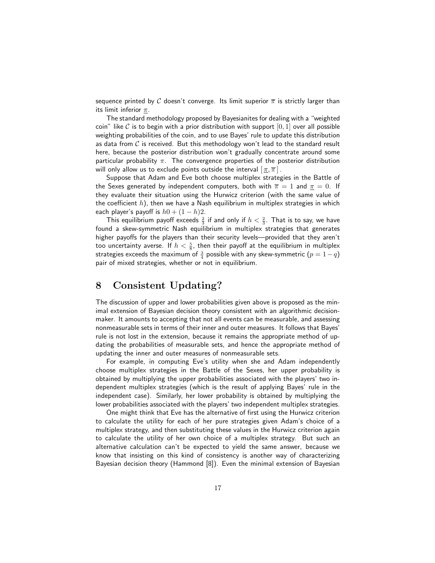sequence printed by C doesn't converge. Its limit superior  $\overline{\pi}$  is strictly larger than its limit inferior  $\pi$ .

The standard methodology proposed by Bayesianites for dealing with a "weighted coin" like C is to begin with a prior distribution with support  $[0, 1]$  over all possible weighting probabilities of the coin, and to use Bayes' rule to update this distribution as data from  $C$  is received. But this methodology won't lead to the standard result here, because the posterior distribution won't gradually concentrate around some particular probability  $\pi$ . The convergence properties of the posterior distribution will only allow us to exclude points outside the interval  $[\pi, \overline{\pi}]$ .

Suppose that Adam and Eve both choose multiplex strategies in the Battle of the Sexes generated by independent computers, both with  $\overline{\pi} = 1$  and  $\underline{\pi} = 0$ . If they evaluate their situation using the Hurwicz criterion (with the same value of the coefficient  $h$ ), then we have a Nash equilibrium in multiplex strategies in which each player's payoff is  $h0 + (1 - h)2$ .

This equilibrium payoff exceeds  $\frac{2}{3}$  if and only if  $h<\frac{2}{3}.$  That is to say, we have found a skew-symmetric Nash equilibrium in multiplex strategies that generates higher payoffs for the players than their security levels—provided that they aren't too uncertainty averse. If  $h<\frac{5}{8},$  then their payoff at the equilibrium in multiplex strategies exceeds the maximum of  $\frac{3}{4}$  possible with any skew-symmetric  $(p=1-q)$ pair of mixed strategies, whether or not in equilibrium.

#### **8 Consistent Updating?**

The discussion of upper and lower probabilities given above is proposed as the minimal extension of Bayesian decision theory consistent with an algorithmic decisionmaker. It amounts to accepting that not all events can be measurable, and assessing nonmeasurable sets in terms of their inner and outer measures. It follows that Bayes' rule is not lost in the extension, because it remains the appropriate method of updating the probabilities of measurable sets, and hence the appropriate method of updating the inner and outer measures of nonmeasurable sets.

For example, in computing Eve's utility when she and Adam independently choose multiplex strategies in the Battle of the Sexes, her upper probability is obtained by multiplying the upper probabilities associated with the players' two independent multiplex strategies (which is the result of applying Bayes' rule in the independent case). Similarly, her lower probability is obtained by multiplying the lower probabilities associated with the players' two independent multiplex strategies.

One might think that Eve has the alternative of first using the Hurwicz criterion to calculate the utility for each of her pure strategies given Adam's choice of a multiplex strategy, and then substituting these values in the Hurwicz criterion again to calculate the utility of her own choice of a multiplex strategy. But such an alternative calculation can't be expected to yield the same answer, because we know that insisting on this kind of consistency is another way of characterizing Bayesian decision theory (Hammond [8]). Even the minimal extension of Bayesian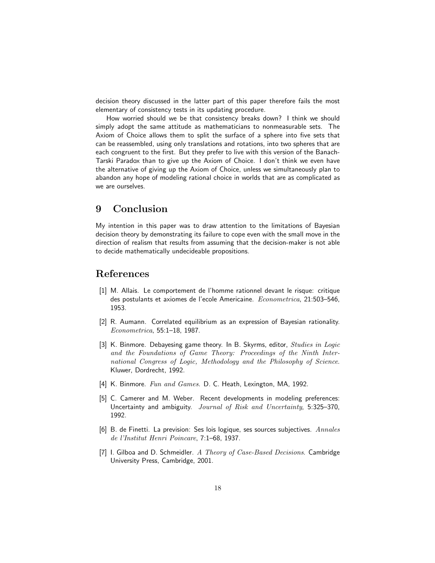decision theory discussed in the latter part of this paper therefore fails the most elementary of consistency tests in its updating procedure.

How worried should we be that consistency breaks down? I think we should simply adopt the same attitude as mathematicians to nonmeasurable sets. The Axiom of Choice allows them to split the surface of a sphere into five sets that can be reassembled, using only translations and rotations, into two spheres that are each congruent to the first. But they prefer to live with this version of the Banach-Tarski Paradox than to give up the Axiom of Choice. I don't think we even have the alternative of giving up the Axiom of Choice, unless we simultaneously plan to abandon any hope of modeling rational choice in worlds that are as complicated as we are ourselves.

#### **9 Conclusion**

My intention in this paper was to draw attention to the limitations of Bayesian decision theory by demonstrating its failure to cope even with the small move in the direction of realism that results from assuming that the decision-maker is not able to decide mathematically undecideable propositions.

#### **References**

- [1] M. Allais. Le comportement de l'homme rationnel devant le risque: critique des postulants et axiomes de l'ecole Americaine. *Econometrica*, 21:503–546, 1953.
- [2] R. Aumann. Correlated equilibrium as an expression of Bayesian rationality. Econometrica, 55:1–18, 1987.
- [3] K. Binmore. Debayesing game theory. In B. Skyrms, editor, *Studies in Logic* and the Foundations of Game Theory: Proceedings of the Ninth International Congress of Logic, Methodology and the Philosophy of Science. Kluwer, Dordrecht, 1992.
- [4] K. Binmore. Fun and Games. D. C. Heath, Lexington, MA, 1992.
- [5] C. Camerer and M. Weber. Recent developments in modeling preferences: Uncertainty and ambiguity. Journal of Risk and Uncertainty, 5:325–370, 1992.
- [6] B. de Finetti. La prevision: Ses lois logique, ses sources subjectives. Annales de l'Institut Henri Poincare, 7:1–68, 1937.
- [7] I. Gilboa and D. Schmeidler. A Theory of Case-Based Decisions. Cambridge University Press, Cambridge, 2001.